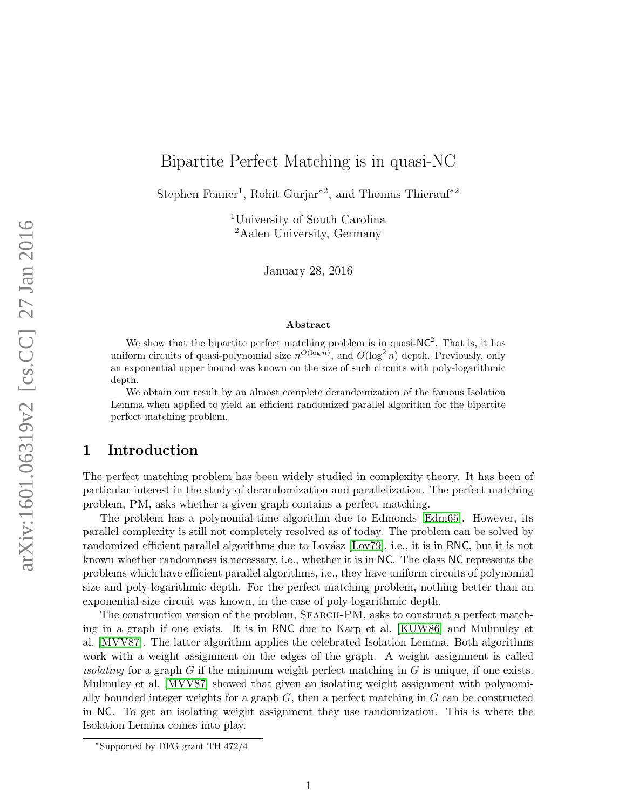# Bipartite Perfect Matching is in quasi-NC

Stephen Fenner<sup>1</sup>, Rohit Gurjar<sup>\*2</sup>, and Thomas Thierauf<sup>\*2</sup>

<sup>1</sup>University of South Carolina <sup>2</sup>Aalen University, Germany

January 28, 2016

#### Abstract

We show that the bipartite perfect matching problem is in quasi- $NC^2$ . That is, it has uniform circuits of quasi-polynomial size  $n^{O(\log n)}$ , and  $O(\log^2 n)$  depth. Previously, only an exponential upper bound was known on the size of such circuits with poly-logarithmic depth.

We obtain our result by an almost complete derandomization of the famous Isolation Lemma when applied to yield an efficient randomized parallel algorithm for the bipartite perfect matching problem.

## 1 Introduction

The perfect matching problem has been widely studied in complexity theory. It has been of particular interest in the study of derandomization and parallelization. The perfect matching problem, PM, asks whether a given graph contains a perfect matching.

The problem has a polynomial-time algorithm due to Edmonds [\[Edm65\]](#page-17-0). However, its parallel complexity is still not completely resolved as of today. The problem can be solved by randomized efficient parallel algorithms due to Lovász [\[Lov79\]](#page-17-1), i.e., it is in RNC, but it is not known whether randomness is necessary, i.e., whether it is in NC. The class NC represents the problems which have efficient parallel algorithms, i.e., they have uniform circuits of polynomial size and poly-logarithmic depth. For the perfect matching problem, nothing better than an exponential-size circuit was known, in the case of poly-logarithmic depth.

The construction version of the problem, Search-PM, asks to construct a perfect matching in a graph if one exists. It is in RNC due to Karp et al. [\[KUW86\]](#page-17-2) and Mulmuley et al. [\[MVV87\]](#page-17-3). The latter algorithm applies the celebrated Isolation Lemma. Both algorithms work with a weight assignment on the edges of the graph. A weight assignment is called *isolating* for a graph G if the minimum weight perfect matching in G is unique, if one exists. Mulmuley et al. [\[MVV87\]](#page-17-3) showed that given an isolating weight assignment with polynomially bounded integer weights for a graph  $G$ , then a perfect matching in  $G$  can be constructed in NC. To get an isolating weight assignment they use randomization. This is where the Isolation Lemma comes into play.

<sup>∗</sup>Supported by DFG grant TH 472/4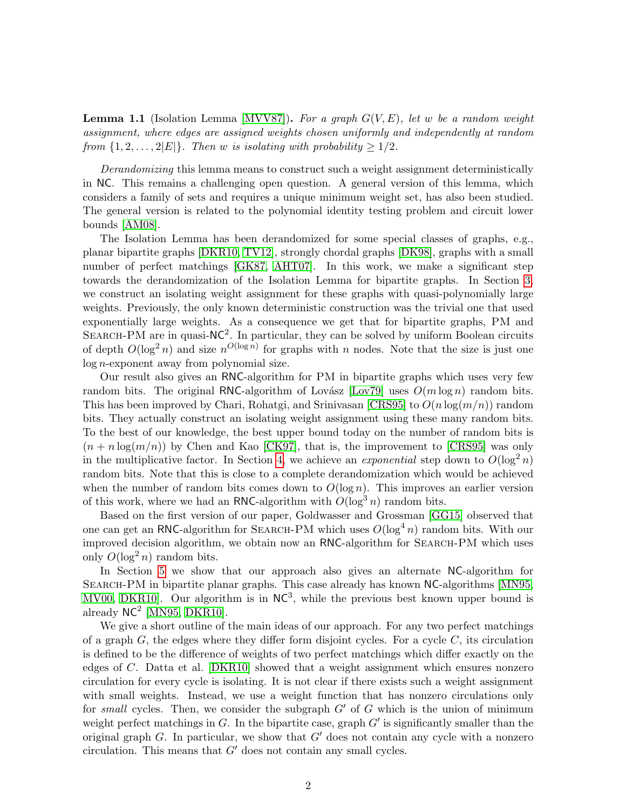**Lemma 1.1** (Isolation Lemma [\[MVV87\]](#page-17-3)). For a graph  $G(V, E)$ , let w be a random weight assignment, where edges are assigned weights chosen uniformly and independently at random from  $\{1, 2, \ldots, 2|E|\}$ . Then w is isolating with probability  $\geq 1/2$ .

Derandomizing this lemma means to construct such a weight assignment deterministically in NC. This remains a challenging open question. A general version of this lemma, which considers a family of sets and requires a unique minimum weight set, has also been studied. The general version is related to the polynomial identity testing problem and circuit lower bounds [\[AM08\]](#page-16-0).

The Isolation Lemma has been derandomized for some special classes of graphs, e.g., planar bipartite graphs [\[DKR10,](#page-16-1) [TV12\]](#page-18-0), strongly chordal graphs [\[DK98\]](#page-16-2), graphs with a small number of perfect matchings [\[GK87,](#page-17-4) [AHT07\]](#page-16-3). In this work, we make a significant step towards the derandomization of the Isolation Lemma for bipartite graphs. In Section [3,](#page-5-0) we construct an isolating weight assignment for these graphs with quasi-polynomially large weights. Previously, the only known deterministic construction was the trivial one that used exponentially large weights. As a consequence we get that for bipartite graphs, PM and SEARCH-PM are in quasi- $NC^2$ . In particular, they can be solved by uniform Boolean circuits of depth  $O(\log^2 n)$  and size  $n^{O(\log n)}$  for graphs with n nodes. Note that the size is just one log n-exponent away from polynomial size.

Our result also gives an RNC-algorithm for PM in bipartite graphs which uses very few random bits. The original RNC-algorithm of Lovász [\[Lov79\]](#page-17-1) uses  $O(m \log n)$  random bits. This has been improved by Chari, Rohatgi, and Srinivasan [\[CRS95\]](#page-16-4) to  $O(n \log(m/n))$  random bits. They actually construct an isolating weight assignment using these many random bits. To the best of our knowledge, the best upper bound today on the number of random bits is  $(n + n \log(m/n))$  by Chen and Kao [\[CK97\]](#page-16-5), that is, the improvement to [\[CRS95\]](#page-16-4) was only in the multiplicative factor. In Section [4,](#page-10-0) we achieve an *exponential* step down to  $O(\log^2 n)$ random bits. Note that this is close to a complete derandomization which would be achieved when the number of random bits comes down to  $O(\log n)$ . This improves an earlier version of this work, where we had an RNC-algorithm with  $O(\log^3 n)$  random bits.

Based on the first version of our paper, Goldwasser and Grossman [\[GG15\]](#page-17-5) observed that one can get an RNC-algorithm for SEARCH-PM which uses  $O(\log^4 n)$  random bits. With our improved decision algorithm, we obtain now an RNC-algorithm for SEARCH-PM which uses only  $O(\log^2 n)$  random bits.

In Section [5](#page-14-0) we show that our approach also gives an alternate NC-algorithm for Search-PM in bipartite planar graphs. This case already has known NC-algorithms [\[MN95,](#page-17-6) [MV00,](#page-17-7) DKR10. Our algorithm is in  $NC^3$ , while the previous best known upper bound is already  $NC^2$  [\[MN95,](#page-17-6) [DKR10\]](#page-16-1).

We give a short outline of the main ideas of our approach. For any two perfect matchings of a graph  $G$ , the edges where they differ form disjoint cycles. For a cycle  $C$ , its circulation is defined to be the difference of weights of two perfect matchings which differ exactly on the edges of C. Datta et al. [\[DKR10\]](#page-16-1) showed that a weight assignment which ensures nonzero circulation for every cycle is isolating. It is not clear if there exists such a weight assignment with small weights. Instead, we use a weight function that has nonzero circulations only for small cycles. Then, we consider the subgraph  $G'$  of  $G$  which is the union of minimum weight perfect matchings in  $G$ . In the bipartite case, graph  $G'$  is significantly smaller than the original graph  $G$ . In particular, we show that  $G'$  does not contain any cycle with a nonzero circulation. This means that  $G'$  does not contain any small cycles.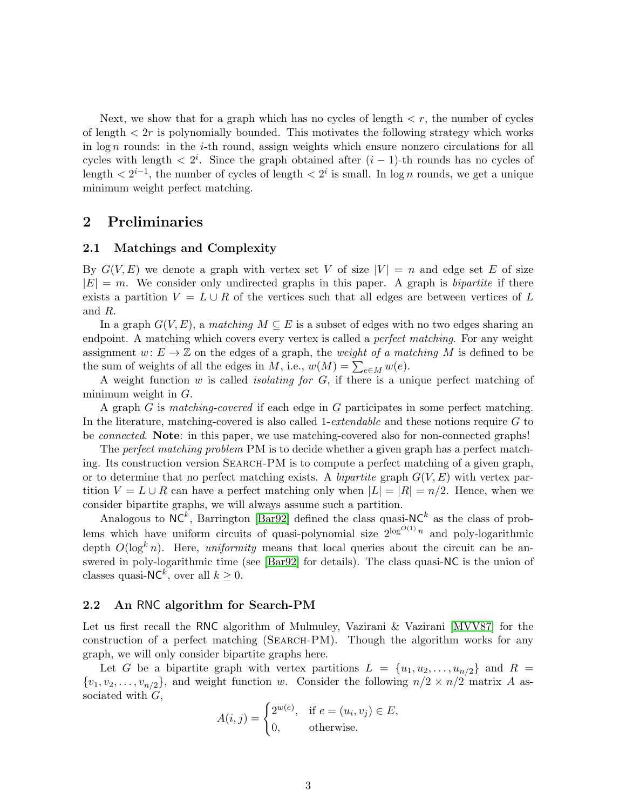Next, we show that for a graph which has no cycles of length  $\lt r$ , the number of cycles of length  $\langle 2r \rangle$  is polynomially bounded. This motivates the following strategy which works in  $\log n$  rounds: in the *i*-th round, assign weights which ensure nonzero circulations for all cycles with length  $\langle 2^i$ . Since the graph obtained after  $(i-1)$ -th rounds has no cycles of length  $\langle 2^{i-1}$ , the number of cycles of length  $\langle 2^i \rangle$  is small. In log *n* rounds, we get a unique minimum weight perfect matching.

### 2 Preliminaries

#### 2.1 Matchings and Complexity

By  $G(V, E)$  we denote a graph with vertex set V of size  $|V| = n$  and edge set E of size  $|E| = m$ . We consider only undirected graphs in this paper. A graph is *bipartite* if there exists a partition  $V = L \cup R$  of the vertices such that all edges are between vertices of L and R.

In a graph  $G(V, E)$ , a matching  $M \subseteq E$  is a subset of edges with no two edges sharing an endpoint. A matching which covers every vertex is called a *perfect matching*. For any weight assignment  $w: E \to \mathbb{Z}$  on the edges of a graph, the *weight of a matching* M is defined to be the sum of weights of all the edges in M, i.e.,  $w(M) = \sum_{e \in M} w(e)$ .

A weight function  $w$  is called *isolating for*  $G$ , if there is a unique perfect matching of minimum weight in  $G$ .

A graph G is matching-covered if each edge in G participates in some perfect matching. In the literature, matching-covered is also called 1-*extendable* and these notions require  $G$  to be connected. Note: in this paper, we use matching-covered also for non-connected graphs!

The *perfect matching problem* PM is to decide whether a given graph has a perfect matching. Its construction version Search-PM is to compute a perfect matching of a given graph, or to determine that no perfect matching exists. A bipartite graph  $G(V, E)$  with vertex partition  $V = L \cup R$  can have a perfect matching only when  $|L| = |R| = n/2$ . Hence, when we consider bipartite graphs, we will always assume such a partition.

Analogous to  $NC^k$ , Barrington [\[Bar92\]](#page-16-6) defined the class quasi-N $C^k$  as the class of problems which have uniform circuits of quasi-polynomial size  $2^{\log^{O(1)} n}$  and poly-logarithmic depth  $O(\log^k n)$ . Here, uniformity means that local queries about the circuit can be answered in poly-logarithmic time (see [\[Bar92\]](#page-16-6) for details). The class quasi-NC is the union of classes quasi-NC<sup>k</sup>, over all  $k \geq 0$ .

#### <span id="page-2-0"></span>2.2 An RNC algorithm for Search-PM

Let us first recall the RNC algorithm of Mulmuley, Vazirani & Vazirani [\[MVV87\]](#page-17-3) for the construction of a perfect matching (Search-PM). Though the algorithm works for any graph, we will only consider bipartite graphs here.

Let G be a bipartite graph with vertex partitions  $L = \{u_1, u_2, \ldots, u_{n/2}\}\$ and  $R =$  $\{v_1, v_2, \ldots, v_{n/2}\}\$ , and weight function w. Consider the following  $n/2 \times n/2$  matrix A associated with  $G$ ,

$$
A(i,j) = \begin{cases} 2^{w(e)}, & \text{if } e = (u_i, v_j) \in E, \\ 0, & \text{otherwise.} \end{cases}
$$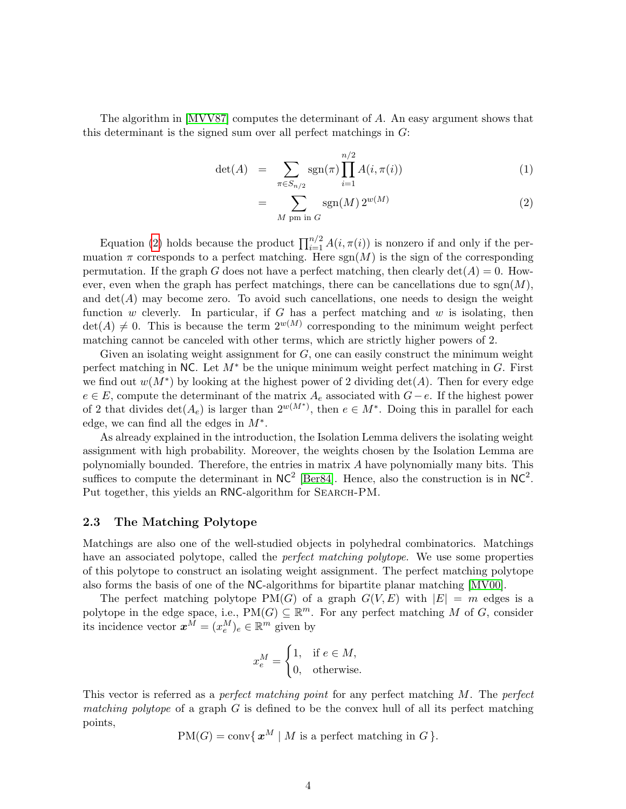The algorithm in [\[MVV87\]](#page-17-3) computes the determinant of A. An easy argument shows that this determinant is the signed sum over all perfect matchings in  $G$ :

<span id="page-3-0"></span>
$$
\det(A) = \sum_{\pi \in S_{n/2}} \text{sgn}(\pi) \prod_{i=1}^{n/2} A(i, \pi(i)) \tag{1}
$$

$$
= \sum_{M \text{ pm in } G} \text{sgn}(M) 2^{w(M)} \tag{2}
$$

Equation [\(2\)](#page-3-0) holds because the product  $\prod_{i=1}^{n/2} A(i, \pi(i))$  is nonzero if and only if the permuation  $\pi$  corresponds to a perfect matching. Here  $sgn(M)$  is the sign of the corresponding permutation. If the graph G does not have a perfect matching, then clearly  $\det(A) = 0$ . However, even when the graph has perfect matchings, there can be cancellations due to  $sgn(M)$ , and  $\det(A)$  may become zero. To avoid such cancellations, one needs to design the weight function w cleverly. In particular, if G has a perfect matching and w is isolating, then  $\det(A) \neq 0$ . This is because the term  $2^{w(M)}$  corresponding to the minimum weight perfect matching cannot be canceled with other terms, which are strictly higher powers of 2.

Given an isolating weight assignment for  $G$ , one can easily construct the minimum weight perfect matching in NC. Let  $M^*$  be the unique minimum weight perfect matching in G. First we find out  $w(M^*)$  by looking at the highest power of 2 dividing  $\det(A)$ . Then for every edge  $e \in E$ , compute the determinant of the matrix  $A_e$  associated with  $G-e$ . If the highest power of 2 that divides  $\det(A_e)$  is larger than  $2^{w(M^*)}$ , then  $e \in M^*$ . Doing this in parallel for each edge, we can find all the edges in  $M^*$ .

As already explained in the introduction, the Isolation Lemma delivers the isolating weight assignment with high probability. Moreover, the weights chosen by the Isolation Lemma are polynomially bounded. Therefore, the entries in matrix A have polynomially many bits. This suffices to compute the determinant in  $NC^2$  [\[Ber84\]](#page-16-7). Hence, also the construction is in  $NC^2$ . Put together, this yields an RNC-algorithm for SEARCH-PM.

### 2.3 The Matching Polytope

Matchings are also one of the well-studied objects in polyhedral combinatorics. Matchings have an associated polytope, called the *perfect matching polytope*. We use some properties of this polytope to construct an isolating weight assignment. The perfect matching polytope also forms the basis of one of the NC-algorithms for bipartite planar matching [\[MV00\]](#page-17-7).

The perfect matching polytope  $PM(G)$  of a graph  $G(V, E)$  with  $|E| = m$  edges is a polytope in the edge space, i.e.,  $PM(G) \subseteq \mathbb{R}^m$ . For any perfect matching M of G, consider its incidence vector  $x^M = (x_e^M)_e \in \mathbb{R}^m$  given by

$$
x_e^M = \begin{cases} 1, & \text{if } e \in M, \\ 0, & \text{otherwise.} \end{cases}
$$

This vector is referred as a *perfect matching point* for any perfect matching M. The *perfect* matching polytope of a graph  $G$  is defined to be the convex hull of all its perfect matching points,

 $PM(G) = \text{conv} \{ \mathbf{x}^M \mid M \text{ is a perfect matching in } G \}.$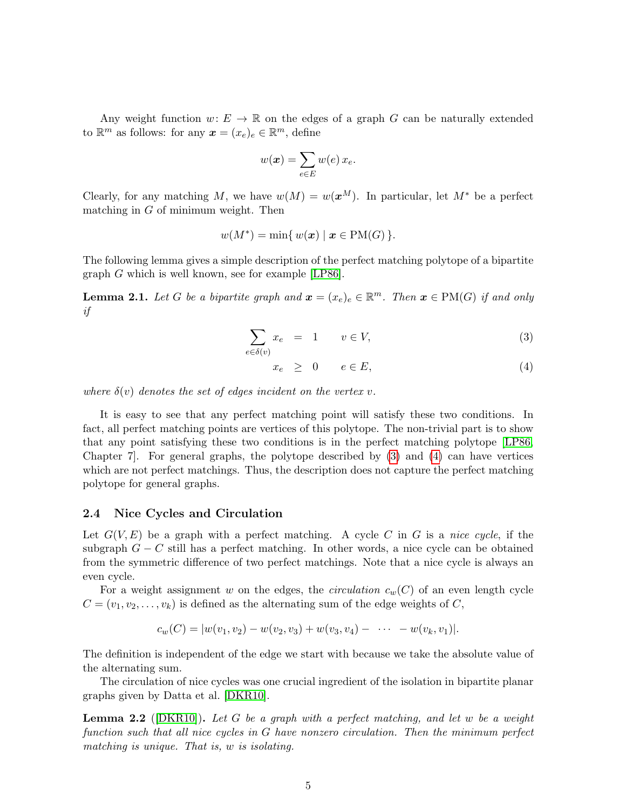Any weight function  $w: E \to \mathbb{R}$  on the edges of a graph G can be naturally extended to  $\mathbb{R}^m$  as follows: for any  $\boldsymbol{x} = (x_e)_e \in \mathbb{R}^m$ , define

$$
w(\boldsymbol{x}) = \sum_{e \in E} w(e) \, x_e.
$$

Clearly, for any matching M, we have  $w(M) = w(x^M)$ . In particular, let  $M^*$  be a perfect matching in  $G$  of minimum weight. Then

$$
w(M^*) = \min\{w(\boldsymbol{x}) \mid \boldsymbol{x} \in \text{PM}(G)\}.
$$

The following lemma gives a simple description of the perfect matching polytope of a bipartite graph G which is well known, see for example [\[LP86\]](#page-17-8).

<span id="page-4-2"></span>**Lemma 2.1.** Let G be a bipartite graph and  $\boldsymbol{x} = (x_e)_e \in \mathbb{R}^m$ . Then  $\boldsymbol{x} \in PM(G)$  if and only if

<span id="page-4-0"></span>
$$
\sum_{e \in \delta(v)} x_e = 1 \qquad v \in V,\tag{3}
$$

$$
x_e \geq 0 \qquad e \in E,\tag{4}
$$

where  $\delta(v)$  denotes the set of edges incident on the vertex v.

It is easy to see that any perfect matching point will satisfy these two conditions. In fact, all perfect matching points are vertices of this polytope. The non-trivial part is to show that any point satisfying these two conditions is in the perfect matching polytope [\[LP86,](#page-17-8) Chapter 7]. For general graphs, the polytope described by [\(3\)](#page-4-0) and [\(4\)](#page-4-0) can have vertices which are not perfect matchings. Thus, the description does not capture the perfect matching polytope for general graphs.

#### 2.4 Nice Cycles and Circulation

Let  $G(V, E)$  be a graph with a perfect matching. A cycle C in G is a nice cycle, if the subgraph  $G - C$  still has a perfect matching. In other words, a nice cycle can be obtained from the symmetric difference of two perfect matchings. Note that a nice cycle is always an even cycle.

For a weight assignment w on the edges, the *circulation*  $c_w(C)$  of an even length cycle  $C = (v_1, v_2, \dots, v_k)$  is defined as the alternating sum of the edge weights of C,

$$
c_w(C) = |w(v_1, v_2) - w(v_2, v_3) + w(v_3, v_4) - \cdots - w(v_k, v_1)|.
$$

The definition is independent of the edge we start with because we take the absolute value of the alternating sum.

The circulation of nice cycles was one crucial ingredient of the isolation in bipartite planar graphs given by Datta et al. [\[DKR10\]](#page-16-1).

<span id="page-4-1"></span>**Lemma 2.2** ( $[DKR10]$ ). Let G be a graph with a perfect matching, and let w be a weight function such that all nice cycles in G have nonzero circulation. Then the minimum perfect matching is unique. That is, w is isolating.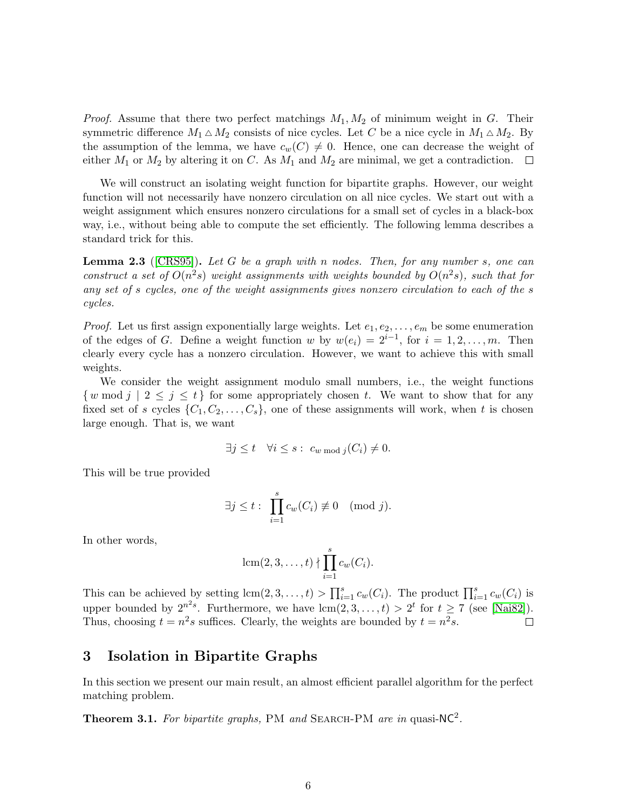*Proof.* Assume that there two perfect matchings  $M_1, M_2$  of minimum weight in G. Their symmetric difference  $M_1 \triangle M_2$  consists of nice cycles. Let C be a nice cycle in  $M_1 \triangle M_2$ . By the assumption of the lemma, we have  $c_w(C) \neq 0$ . Hence, one can decrease the weight of either  $M_1$  or  $M_2$  by altering it on C. As  $M_1$  and  $M_2$  are minimal, we get a contradiction.  $\Box$ 

We will construct an isolating weight function for bipartite graphs. However, our weight function will not necessarily have nonzero circulation on all nice cycles. We start out with a weight assignment which ensures nonzero circulations for a small set of cycles in a black-box way, i.e., without being able to compute the set efficiently. The following lemma describes a standard trick for this.

<span id="page-5-1"></span>**Lemma 2.3** ([\[CRS95\]](#page-16-4)). Let G be a graph with n nodes. Then, for any number s, one can construct a set of  $O(n^2s)$  weight assignments with weights bounded by  $O(n^2s)$ , such that for any set of s cycles, one of the weight assignments gives nonzero circulation to each of the s cycles.

*Proof.* Let us first assign exponentially large weights. Let  $e_1, e_2, \ldots, e_m$  be some enumeration of the edges of G. Define a weight function w by  $w(e_i) = 2^{i-1}$ , for  $i = 1, 2, ..., m$ . Then clearly every cycle has a nonzero circulation. However, we want to achieve this with small weights.

We consider the weight assignment modulo small numbers, i.e., the weight functions  $\{w \bmod j \mid 2 \leq j \leq t\}$  for some appropriately chosen t. We want to show that for any fixed set of s cycles  $\{C_1, C_2, \ldots, C_s\}$ , one of these assignments will work, when t is chosen large enough. That is, we want

$$
\exists j \leq t \quad \forall i \leq s : c_{w \bmod j}(C_i) \neq 0.
$$

This will be true provided

$$
\exists j \leq t : \prod_{i=1}^s c_w(C_i) \not\equiv 0 \pmod{j}.
$$

In other words,

$$
lcm(2,3,\ldots,t) \nmid \prod_{i=1}^{s} c_w(C_i).
$$

This can be achieved by setting  $\text{lcm}(2,3,\ldots,t) > \prod_{i=1}^s c_w(C_i)$ . The product  $\prod_{i=1}^s c_w(C_i)$  is upper bounded by  $2^{n^2s}$ . Furthermore, we have  $\text{lcm}(2,3,\ldots,t) > 2^t$  for  $t \ge 7$  (see [\[Nai82\]](#page-17-9)). Thus, choosing  $t = n^2 s$  suffices. Clearly, the weights are bounded by  $t = n^2 s$ .  $\Box$ 

### <span id="page-5-0"></span>3 Isolation in Bipartite Graphs

In this section we present our main result, an almost efficient parallel algorithm for the perfect matching problem.

<span id="page-5-2"></span>**Theorem 3.1.** For bipartite graphs, PM and SEARCH-PM are in quasi-NC<sup>2</sup>.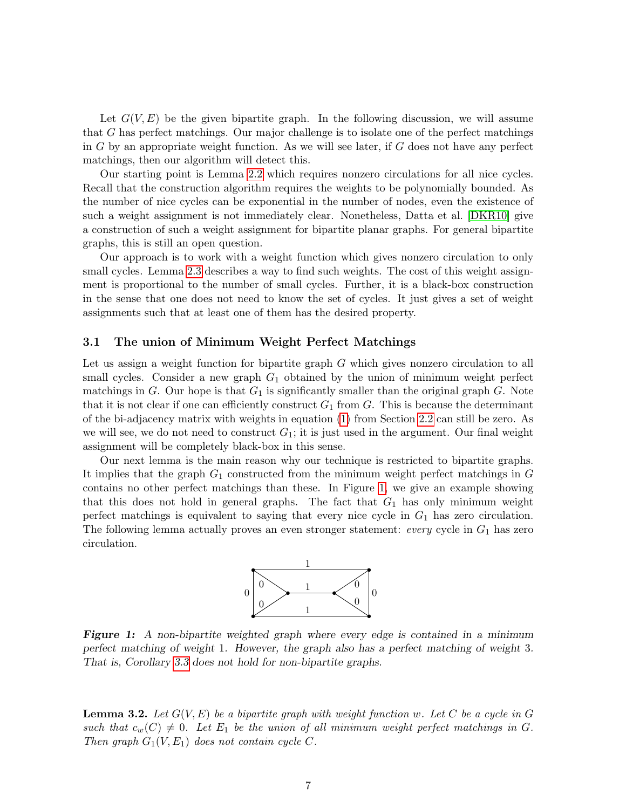Let  $G(V, E)$  be the given bipartite graph. In the following discussion, we will assume that G has perfect matchings. Our major challenge is to isolate one of the perfect matchings in  $G$  by an appropriate weight function. As we will see later, if  $G$  does not have any perfect matchings, then our algorithm will detect this.

Our starting point is Lemma [2.2](#page-4-1) which requires nonzero circulations for all nice cycles. Recall that the construction algorithm requires the weights to be polynomially bounded. As the number of nice cycles can be exponential in the number of nodes, even the existence of such a weight assignment is not immediately clear. Nonetheless, Datta et al. [\[DKR10\]](#page-16-1) give a construction of such a weight assignment for bipartite planar graphs. For general bipartite graphs, this is still an open question.

Our approach is to work with a weight function which gives nonzero circulation to only small cycles. Lemma [2.3](#page-5-1) describes a way to find such weights. The cost of this weight assignment is proportional to the number of small cycles. Further, it is a black-box construction in the sense that one does not need to know the set of cycles. It just gives a set of weight assignments such that at least one of them has the desired property.

#### 3.1 The union of Minimum Weight Perfect Matchings

Let us assign a weight function for bipartite graph G which gives nonzero circulation to all small cycles. Consider a new graph  $G_1$  obtained by the union of minimum weight perfect matchings in G. Our hope is that  $G_1$  is significantly smaller than the original graph G. Note that it is not clear if one can efficiently construct  $G_1$  from G. This is because the determinant of the bi-adjacency matrix with weights in equation [\(1\)](#page-3-0) from Section [2.2](#page-2-0) can still be zero. As we will see, we do not need to construct  $G_1$ ; it is just used in the argument. Our final weight assignment will be completely black-box in this sense.

Our next lemma is the main reason why our technique is restricted to bipartite graphs. It implies that the graph  $G_1$  constructed from the minimum weight perfect matchings in  $G$ contains no other perfect matchings than these. In Figure [1,](#page-6-0) we give an example showing that this does not hold in general graphs. The fact that  $G_1$  has only minimum weight perfect matchings is equivalent to saying that every nice cycle in  $G_1$  has zero circulation. The following lemma actually proves an even stronger statement: *every* cycle in  $G_1$  has zero circulation.



<span id="page-6-0"></span>Figure 1: A non-bipartite weighted graph where every edge is contained in a minimum perfect matching of weight 1. However, the graph also has a perfect matching of weight 3. That is, Corollary [3.3](#page-8-0) does not hold for non-bipartite graphs.

<span id="page-6-1"></span>**Lemma 3.2.** Let  $G(V, E)$  be a bipartite graph with weight function w. Let C be a cycle in G such that  $c_w(C) \neq 0$ . Let  $E_1$  be the union of all minimum weight perfect matchings in G. Then graph  $G_1(V, E_1)$  does not contain cycle C.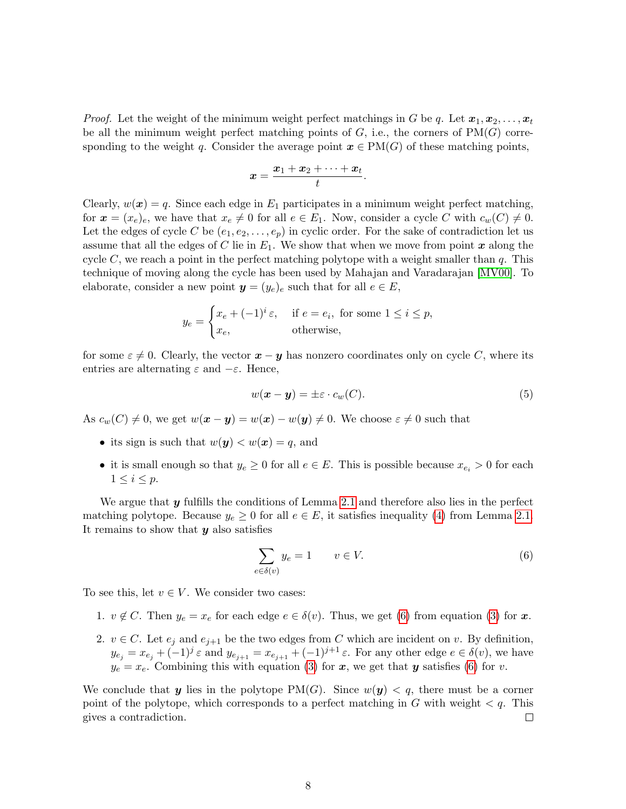*Proof.* Let the weight of the minimum weight perfect matchings in G be q. Let  $x_1, x_2, \ldots, x_t$ be all the minimum weight perfect matching points of  $G$ , i.e., the corners of  $PM(G)$  corresponding to the weight q. Consider the average point  $x \in PM(G)$  of these matching points,

$$
x=\frac{x_1+x_2+\cdots+x_t}{t}.
$$

Clearly,  $w(x) = q$ . Since each edge in  $E_1$  participates in a minimum weight perfect matching, for  $\mathbf{x} = (x_e)_e$ , we have that  $x_e \neq 0$  for all  $e \in E_1$ . Now, consider a cycle C with  $c_w(C) \neq 0$ . Let the edges of cycle C be  $(e_1, e_2, \ldots, e_p)$  in cyclic order. For the sake of contradiction let us assume that all the edges of C lie in  $E_1$ . We show that when we move from point x along the cycle C, we reach a point in the perfect matching polytope with a weight smaller than  $q$ . This technique of moving along the cycle has been used by Mahajan and Varadarajan [\[MV00\]](#page-17-7). To elaborate, consider a new point  $y = (y_e)_e$  such that for all  $e \in E$ ,

$$
y_e = \begin{cases} x_e + (-1)^i \varepsilon, & \text{if } e = e_i, \text{ for some } 1 \le i \le p, \\ x_e, & \text{otherwise,} \end{cases}
$$

for some  $\varepsilon \neq 0$ . Clearly, the vector  $\boldsymbol{x} - \boldsymbol{y}$  has nonzero coordinates only on cycle C, where its entries are alternating  $\varepsilon$  and  $-\varepsilon$ . Hence,

$$
w(\mathbf{x} - \mathbf{y}) = \pm \varepsilon \cdot c_w(C). \tag{5}
$$

As  $c_w(C) \neq 0$ , we get  $w(\mathbf{x} - \mathbf{y}) = w(\mathbf{x}) - w(\mathbf{y}) \neq 0$ . We choose  $\varepsilon \neq 0$  such that

- its sign is such that  $w(y) < w(x) = q$ , and
- it is small enough so that  $y_e \geq 0$  for all  $e \in E$ . This is possible because  $x_{e_i} > 0$  for each  $1 \leq i \leq p$ .

We argue that  $y$  fulfills the conditions of Lemma [2.1](#page-4-2) and therefore also lies in the perfect matching polytope. Because  $y_e \geq 0$  for all  $e \in E$ , it satisfies inequality [\(4\)](#page-4-0) from Lemma [2.1.](#page-4-2) It remains to show that  $y$  also satisfies

<span id="page-7-0"></span>
$$
\sum_{e \in \delta(v)} y_e = 1 \qquad v \in V. \tag{6}
$$

To see this, let  $v \in V$ . We consider two cases:

- 1.  $v \notin C$ . Then  $y_e = x_e$  for each edge  $e \in \delta(v)$ . Thus, we get [\(6\)](#page-7-0) from equation [\(3\)](#page-4-0) for x.
- 2.  $v \in C$ . Let  $e_j$  and  $e_{j+1}$  be the two edges from C which are incident on v. By definition,  $y_{e_j} = x_{e_j} + (-1)^j \varepsilon$  and  $y_{e_{j+1}} = x_{e_{j+1}} + (-1)^{j+1} \varepsilon$ . For any other edge  $e \in \delta(v)$ , we have  $y_e = x_e$ . Combining this with equation [\(3\)](#page-4-0) for x, we get that y satisfies [\(6\)](#page-7-0) for v.

We conclude that y lies in the polytope  $PM(G)$ . Since  $w(y) < q$ , there must be a corner point of the polytope, which corresponds to a perfect matching in G with weight  $\lt q$ . This gives a contradiction.  $\Box$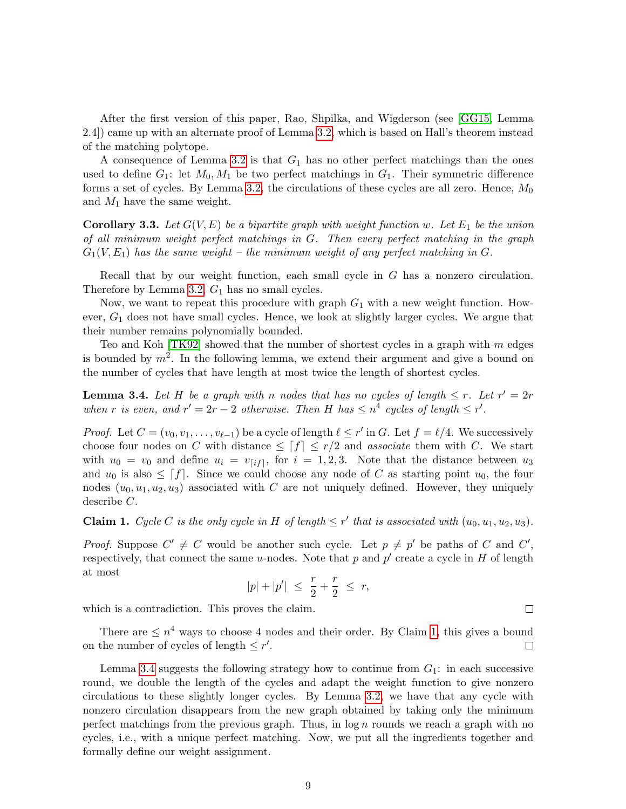After the first version of this paper, Rao, Shpilka, and Wigderson (see [\[GG15,](#page-17-5) Lemma 2.4]) came up with an alternate proof of Lemma [3.2,](#page-6-1) which is based on Hall's theorem instead of the matching polytope.

A consequence of Lemma [3.2](#page-6-1) is that  $G_1$  has no other perfect matchings than the ones used to define  $G_1$ : let  $M_0, M_1$  be two perfect matchings in  $G_1$ . Their symmetric difference forms a set of cycles. By Lemma [3.2,](#page-6-1) the circulations of these cycles are all zero. Hence,  $M_0$ and  $M_1$  have the same weight.

<span id="page-8-0"></span>**Corollary 3.3.** Let  $G(V, E)$  be a bipartite graph with weight function w. Let  $E_1$  be the union of all minimum weight perfect matchings in G. Then every perfect matching in the graph  $G_1(V, E_1)$  has the same weight – the minimum weight of any perfect matching in G.

Recall that by our weight function, each small cycle in G has a nonzero circulation. Therefore by Lemma [3.2,](#page-6-1)  $G_1$  has no small cycles.

Now, we want to repeat this procedure with graph  $G_1$  with a new weight function. However,  $G_1$  does not have small cycles. Hence, we look at slightly larger cycles. We argue that their number remains polynomially bounded.

Teo and Koh [\[TK92\]](#page-18-1) showed that the number of shortest cycles in a graph with  $m$  edges is bounded by  $m^2$ . In the following lemma, we extend their argument and give a bound on the number of cycles that have length at most twice the length of shortest cycles.

<span id="page-8-2"></span>**Lemma 3.4.** Let H be a graph with n nodes that has no cycles of length  $\leq r$ . Let  $r' = 2r$ when r is even, and  $r' = 2r - 2$  otherwise. Then H has  $\leq n^4$  cycles of length  $\leq r'$ .

*Proof.* Let  $C = (v_0, v_1, \ldots, v_{\ell-1})$  be a cycle of length  $\ell \leq r'$  in G. Let  $f = \ell/4$ . We successively choose four nodes on C with distance  $\leq f \mid f \mid \leq r/2$  and associate them with C. We start with  $u_0 = v_0$  and define  $u_i = v_{[if]}$ , for  $i = 1, 2, 3$ . Note that the distance between  $u_3$ and  $u_0$  is also  $\leq f$ . Since we could choose any node of C as starting point  $u_0$ , the four nodes  $(u_0, u_1, u_2, u_3)$  associated with C are not uniquely defined. However, they uniquely describe C.

<span id="page-8-1"></span>**Claim 1.** Cycle C is the only cycle in H of length  $\leq r'$  that is associated with  $(u_0, u_1, u_2, u_3)$ .

*Proof.* Suppose  $C' \neq C$  would be another such cycle. Let  $p \neq p'$  be paths of C and  $C'$ , respectively, that connect the same u-nodes. Note that p and  $p'$  create a cycle in H of length at most

$$
|p| + |p'| \le \frac{r}{2} + \frac{r}{2} \le r,
$$

which is a contradiction. This proves the claim.

There are  $\leq n^4$  ways to choose 4 nodes and their order. By Claim [1,](#page-8-1) this gives a bound on the number of cycles of length  $\leq r'$ .  $\Box$ 

Lemma [3.4](#page-8-2) suggests the following strategy how to continue from  $G_1$ : in each successive round, we double the length of the cycles and adapt the weight function to give nonzero circulations to these slightly longer cycles. By Lemma [3.2,](#page-6-1) we have that any cycle with nonzero circulation disappears from the new graph obtained by taking only the minimum perfect matchings from the previous graph. Thus, in  $log n$  rounds we reach a graph with no cycles, i.e., with a unique perfect matching. Now, we put all the ingredients together and formally define our weight assignment.

 $\Box$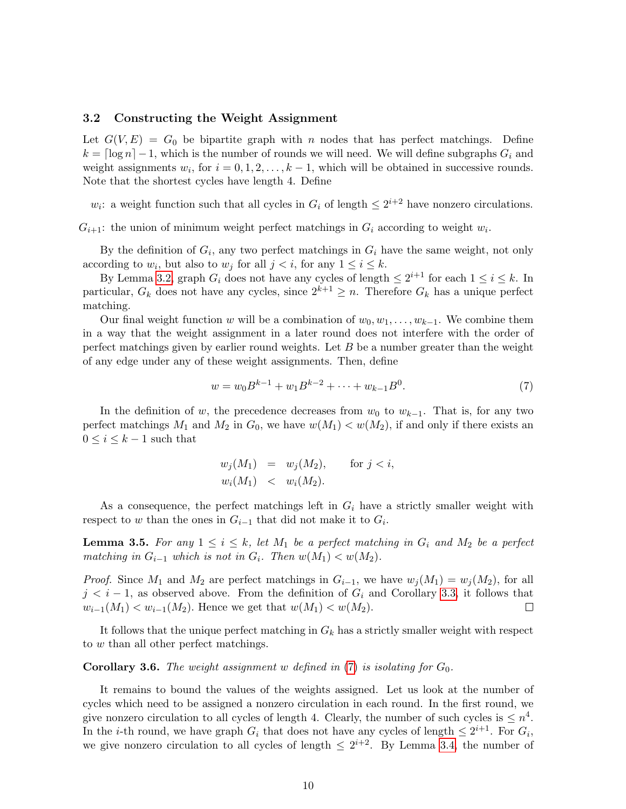#### <span id="page-9-1"></span>3.2 Constructing the Weight Assignment

Let  $G(V, E) = G_0$  be bipartite graph with n nodes that has perfect matchings. Define  $k = \lceil \log n \rceil - 1$ , which is the number of rounds we will need. We will define subgraphs  $G_i$  and weight assignments  $w_i$ , for  $i = 0, 1, 2, \ldots, k - 1$ , which will be obtained in successive rounds. Note that the shortest cycles have length 4. Define

 $w_i$ : a weight function such that all cycles in  $G_i$  of length  $\leq 2^{i+2}$  have nonzero circulations.

 $G_{i+1}$ : the union of minimum weight perfect matchings in  $G_i$  according to weight  $w_i$ .

By the definition of  $G_i$ , any two perfect matchings in  $G_i$  have the same weight, not only according to  $w_i$ , but also to  $w_j$  for all  $j < i$ , for any  $1 \le i \le k$ .

By Lemma [3.2,](#page-6-1) graph  $G_i$  does not have any cycles of length  $\leq 2^{i+1}$  for each  $1 \leq i \leq k$ . In particular,  $G_k$  does not have any cycles, since  $2^{k+1} \geq n$ . Therefore  $G_k$  has a unique perfect matching.

Our final weight function w will be a combination of  $w_0, w_1, \ldots, w_{k-1}$ . We combine them in a way that the weight assignment in a later round does not interfere with the order of perfect matchings given by earlier round weights. Let  $B$  be a number greater than the weight of any edge under any of these weight assignments. Then, define

<span id="page-9-0"></span>
$$
w = w_0 B^{k-1} + w_1 B^{k-2} + \dots + w_{k-1} B^0.
$$
\n<sup>(7)</sup>

In the definition of w, the precedence decreases from  $w_0$  to  $w_{k-1}$ . That is, for any two perfect matchings  $M_1$  and  $M_2$  in  $G_0$ , we have  $w(M_1) < w(M_2)$ , if and only if there exists an  $0\leq i\leq k-1$  such that

$$
w_j(M_1) = w_j(M_2), \text{ for } j < i,
$$
  
\n $w_i(M_1) < w_i(M_2).$ 

As a consequence, the perfect matchings left in  $G_i$  have a strictly smaller weight with respect to w than the ones in  $G_{i-1}$  that did not make it to  $G_i$ .

**Lemma 3.5.** For any  $1 \leq i \leq k$ , let  $M_1$  be a perfect matching in  $G_i$  and  $M_2$  be a perfect matching in  $G_{i-1}$  which is not in  $G_i$ . Then  $w(M_1) < w(M_2)$ .

*Proof.* Since  $M_1$  and  $M_2$  are perfect matchings in  $G_{i-1}$ , we have  $w_i(M_1) = w_i(M_2)$ , for all  $j < i - 1$ , as observed above. From the definition of  $G_i$  and Corollary [3.3,](#page-8-0) it follows that  $w_{i-1}(M_1) < w_{i-1}(M_2)$ . Hence we get that  $w(M_1) < w(M_2)$ .  $\Box$ 

It follows that the unique perfect matching in  $G_k$  has a strictly smaller weight with respect to w than all other perfect matchings.

**Corollary 3.6.** The weight assignment w defined in  $(7)$  is isolating for  $G_0$ .

It remains to bound the values of the weights assigned. Let us look at the number of cycles which need to be assigned a nonzero circulation in each round. In the first round, we give nonzero circulation to all cycles of length 4. Clearly, the number of such cycles is  $\leq n^4$ . In the *i*-th round, we have graph  $G_i$  that does not have any cycles of length  $\leq 2^{i+1}$ . For  $G_i$ , we give nonzero circulation to all cycles of length  $\leq 2^{i+2}$ . By Lemma [3.4,](#page-8-2) the number of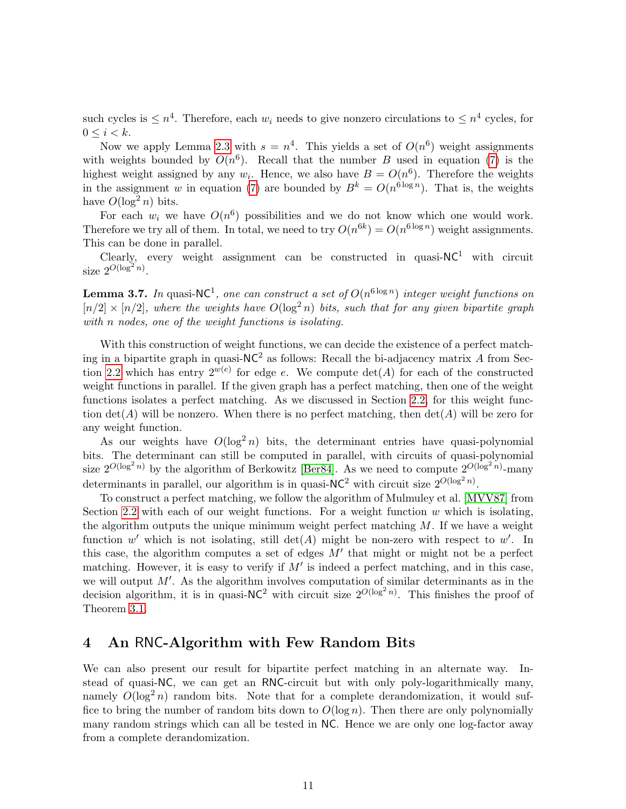such cycles is  $\leq n^4$ . Therefore, each  $w_i$  needs to give nonzero circulations to  $\leq n^4$  cycles, for  $0 \leq i \leq k$ .

Now we apply Lemma [2.3](#page-5-1) with  $s = n^4$ . This yields a set of  $O(n^6)$  weight assignments with weights bounded by  $O(n^6)$ . Recall that the number B used in equation [\(7\)](#page-9-0) is the highest weight assigned by any  $w_i$ . Hence, we also have  $B = O(n^6)$ . Therefore the weights in the assignment w in equation [\(7\)](#page-9-0) are bounded by  $B^k = O(n^{6 \log n})$ . That is, the weights have  $O(\log^2 n)$  bits.

For each  $w_i$  we have  $O(n^6)$  possibilities and we do not know which one would work. Therefore we try all of them. In total, we need to try  $O(n^{6k}) = O(n^{6\log n})$  weight assignments. This can be done in parallel.

Clearly, every weight assignment can be constructed in quasi- $NC<sup>1</sup>$  with circuit size  $2^{O(\log^2 n)}$ .

**Lemma 3.7.** In quasi-NC<sup>1</sup>, one can construct a set of  $O(n^{6 \log n})$  integer weight functions on  $[n/2] \times [n/2]$ , where the weights have  $O(\log^2 n)$  bits, such that for any given bipartite graph with n nodes, one of the weight functions is isolating.

With this construction of weight functions, we can decide the existence of a perfect matching in a bipartite graph in quasi- $NC^2$  as follows: Recall the bi-adjacency matrix A from Sec-tion [2.2](#page-2-0) which has entry  $2^{w(e)}$  for edge e. We compute  $\det(A)$  for each of the constructed weight functions in parallel. If the given graph has a perfect matching, then one of the weight functions isolates a perfect matching. As we discussed in Section [2.2,](#page-2-0) for this weight function  $\det(A)$  will be nonzero. When there is no perfect matching, then  $\det(A)$  will be zero for any weight function.

As our weights have  $O(\log^2 n)$  bits, the determinant entries have quasi-polynomial bits. The determinant can still be computed in parallel, with circuits of quasi-polynomial size  $2^{O(\log^2 n)}$  by the algorithm of Berkowitz [\[Ber84\]](#page-16-7). As we need to compute  $2^{O(\log^2 n)}$ -many determinants in parallel, our algorithm is in quasi-NC<sup>2</sup> with circuit size  $2^{O(\log^2 n)}$ .

To construct a perfect matching, we follow the algorithm of Mulmuley et al. [\[MVV87\]](#page-17-3) from Section [2.2](#page-2-0) with each of our weight functions. For a weight function  $w$  which is isolating, the algorithm outputs the unique minimum weight perfect matching  $M$ . If we have a weight function w' which is not isolating, still  $\det(A)$  might be non-zero with respect to w'. In this case, the algorithm computes a set of edges  $M'$  that might or might not be a perfect matching. However, it is easy to verify if  $M'$  is indeed a perfect matching, and in this case, we will output  $M'$ . As the algorithm involves computation of similar determinants as in the decision algorithm, it is in quasi-NC<sup>2</sup> with circuit size  $2^{O(\log^2 n)}$ . This finishes the proof of Theorem [3.1.](#page-5-2)

# <span id="page-10-0"></span>4 An RNC-Algorithm with Few Random Bits

We can also present our result for bipartite perfect matching in an alternate way. Instead of quasi-NC, we can get an RNC-circuit but with only poly-logarithmically many, namely  $O(\log^2 n)$  random bits. Note that for a complete derandomization, it would suffice to bring the number of random bits down to  $O(\log n)$ . Then there are only polynomially many random strings which can all be tested in NC. Hence we are only one log-factor away from a complete derandomization.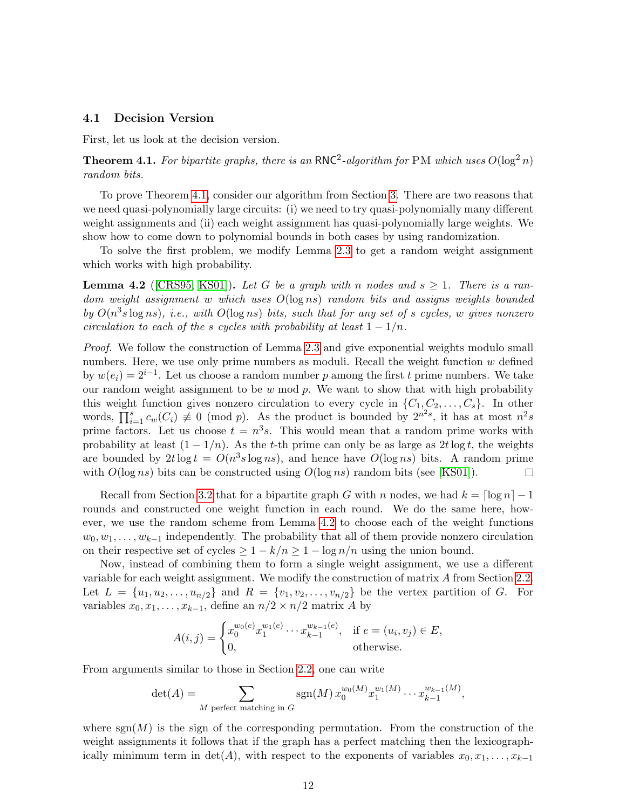#### 4.1 Decision Version

First, let us look at the decision version.

<span id="page-11-0"></span>**Theorem 4.1.** For bipartite graphs, there is an RNC<sup>2</sup>-algorithm for PM which uses  $O(\log^2 n)$ random bits.

To prove Theorem [4.1,](#page-11-0) consider our algorithm from Section [3.](#page-5-0) There are two reasons that we need quasi-polynomially large circuits: (i) we need to try quasi-polynomially many different weight assignments and (ii) each weight assignment has quasi-polynomially large weights. We show how to come down to polynomial bounds in both cases by using randomization.

To solve the first problem, we modify Lemma [2.3](#page-5-1) to get a random weight assignment which works with high probability.

<span id="page-11-1"></span>**Lemma 4.2** ([\[CRS95,](#page-16-4) [KS01\]](#page-17-10)). Let G be a graph with n nodes and  $s \geq 1$ . There is a ran $dom$  weight assignment w which uses  $O(log\,ns)$  random bits and assigns weights bounded by  $O(n^3s \log ns)$ , i.e., with  $O(\log ns)$  bits, such that for any set of s cycles, w gives nonzero circulation to each of the s cycles with probability at least  $1 - 1/n$ .

Proof. We follow the construction of Lemma [2.3](#page-5-1) and give exponential weights modulo small numbers. Here, we use only prime numbers as moduli. Recall the weight function  $w$  defined by  $w(e_i) = 2^{i-1}$ . Let us choose a random number p among the first t prime numbers. We take our random weight assignment to be  $w \mod p$ . We want to show that with high probability this weight function gives nonzero circulation to every cycle in  $\{C_1, C_2, \ldots, C_s\}$ . In other words,  $\prod_{i=1}^{s} c_w(C_i) \neq 0 \pmod{p}$ . As the product is bounded by  $2^{n^2s}$ , it has at most  $n^2s$ prime factors. Let us choose  $t = n^3 s$ . This would mean that a random prime works with probability at least  $(1 - 1/n)$ . As the t-th prime can only be as large as 2t log t, the weights are bounded by  $2t \log t = O(n^3 s \log ns)$ , and hence have  $O(\log ns)$  bits. A random prime with  $O(\log ns)$  bits can be constructed using  $O(\log ns)$  random bits (see [\[KS01\]](#page-17-10)).  $\Box$ 

Recall from Section [3.2](#page-9-1) that for a bipartite graph G with n nodes, we had  $k = \lceil \log n \rceil - 1$ rounds and constructed one weight function in each round. We do the same here, however, we use the random scheme from Lemma [4.2](#page-11-1) to choose each of the weight functions  $w_0, w_1, \ldots, w_{k-1}$  independently. The probability that all of them provide nonzero circulation on their respective set of cycles  $\geq 1 - k/n \geq 1 - \log n/n$  using the union bound.

Now, instead of combining them to form a single weight assignment, we use a different variable for each weight assignment. We modify the construction of matrix A from Section [2.2.](#page-2-0) Let  $L = \{u_1, u_2, \ldots, u_{n/2}\}\$ and  $R = \{v_1, v_2, \ldots, v_{n/2}\}\$ be the vertex partition of G. For variables  $x_0, x_1, \ldots, x_{k-1}$ , define an  $n/2 \times n/2$  matrix A by

$$
A(i,j) = \begin{cases} x_0^{w_0(e)} x_1^{w_1(e)} \cdots x_{k-1}^{w_{k-1}(e)}, & \text{if } e = (u_i, v_j) \in E, \\ 0, & \text{otherwise.} \end{cases}
$$

From arguments similar to those in Section [2.2,](#page-2-0) one can write

$$
\det(A) = \sum_{M \text{ perfect matching in } G} \operatorname{sgn}(M) x_0^{w_0(M)} x_1^{w_1(M)} \cdots x_{k-1}^{w_{k-1}(M)},
$$

where  $sgn(M)$  is the sign of the corresponding permutation. From the construction of the weight assignments it follows that if the graph has a perfect matching then the lexicographically minimum term in det(A), with respect to the exponents of variables  $x_0, x_1, \ldots, x_{k-1}$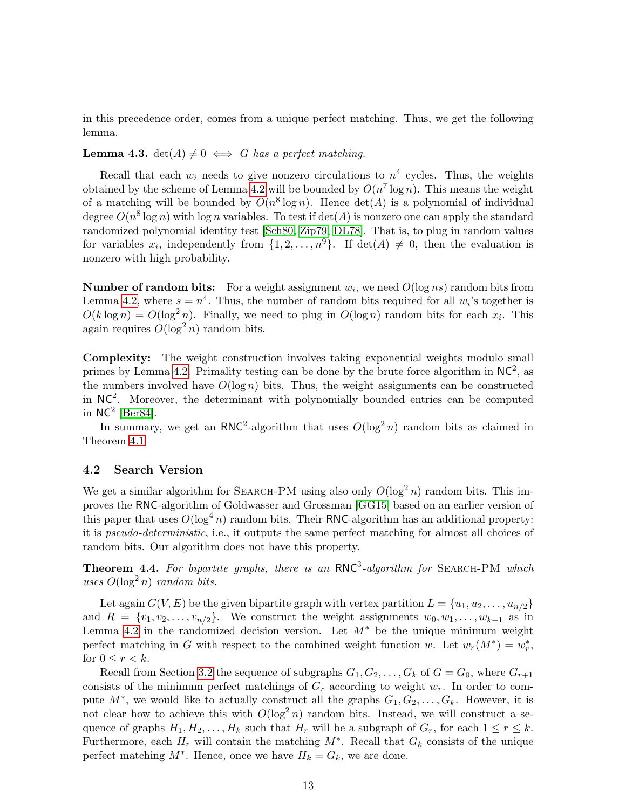in this precedence order, comes from a unique perfect matching. Thus, we get the following lemma.

#### **Lemma 4.3.** det( $A$ )  $\neq 0 \iff G$  has a perfect matching.

Recall that each  $w_i$  needs to give nonzero circulations to  $n^4$  cycles. Thus, the weights obtained by the scheme of Lemma [4.2](#page-11-1) will be bounded by  $O(n^7 \log n)$ . This means the weight of a matching will be bounded by  $O(n^8 \log n)$ . Hence  $\det(A)$  is a polynomial of individual degree  $O(n^8 \log n)$  with log n variables. To test if  $\det(A)$  is nonzero one can apply the standard randomized polynomial identity test [\[Sch80,](#page-18-2) [Zip79,](#page-18-3) [DL78\]](#page-16-8). That is, to plug in random values for variables  $x_i$ , independently from  $\{1, 2, ..., n^9\}$ . If  $\det(A) \neq 0$ , then the evaluation is nonzero with high probability.

**Number of random bits:** For a weight assignment  $w_i$ , we need  $O(\log ns)$  random bits from Lemma [4.2,](#page-11-1) where  $s = n^4$ . Thus, the number of random bits required for all  $w_i$ 's together is  $O(k \log n) = O(\log^2 n)$ . Finally, we need to plug in  $O(\log n)$  random bits for each  $x_i$ . This again requires  $O(\log^2 n)$  random bits.

Complexity: The weight construction involves taking exponential weights modulo small primes by Lemma [4.2.](#page-11-1) Primality testing can be done by the brute force algorithm in  $NC^2$ , as the numbers involved have  $O(\log n)$  bits. Thus, the weight assignments can be constructed in  $NC<sup>2</sup>$ . Moreover, the determinant with polynomially bounded entries can be computed in  $NC^2$  [\[Ber84\]](#page-16-7).

In summary, we get an RNC<sup>2</sup>-algorithm that uses  $O(\log^2 n)$  random bits as claimed in Theorem [4.1.](#page-11-0)

#### 4.2 Search Version

We get a similar algorithm for SEARCH-PM using also only  $O(\log^2 n)$  random bits. This improves the RNC-algorithm of Goldwasser and Grossman [\[GG15\]](#page-17-5) based on an earlier version of this paper that uses  $O(\log^4 n)$  random bits. Their RNC-algorithm has an additional property: it is pseudo-deterministic, i.e., it outputs the same perfect matching for almost all choices of random bits. Our algorithm does not have this property.

**Theorem 4.4.** For bipartite graphs, there is an  $RNC<sup>3</sup>$ -algorithm for SEARCH-PM which uses  $O(\log^2 n)$  random bits.

Let again  $G(V, E)$  be the given bipartite graph with vertex partition  $L = \{u_1, u_2, \ldots, u_{n/2}\}\$ and  $R = \{v_1, v_2, \ldots, v_{n/2}\}.$  We construct the weight assignments  $w_0, w_1, \ldots, w_{k-1}$  as in Lemma [4.2](#page-11-1) in the randomized decision version. Let  $M^*$  be the unique minimum weight perfect matching in G with respect to the combined weight function w. Let  $w_r(M^*) = w_r^*$ , for  $0 \leq r < k$ .

Recall from Section [3.2](#page-9-1) the sequence of subgraphs  $G_1, G_2, \ldots, G_k$  of  $G = G_0$ , where  $G_{r+1}$ consists of the minimum perfect matchings of  $G_r$  according to weight  $w_r$ . In order to compute  $M^*$ , we would like to actually construct all the graphs  $G_1, G_2, \ldots, G_k$ . However, it is not clear how to achieve this with  $O(\log^2 n)$  random bits. Instead, we will construct a sequence of graphs  $H_1, H_2, \ldots, H_k$  such that  $H_r$  will be a subgraph of  $G_r$ , for each  $1 \leq r \leq k$ . Furthermore, each  $H_r$  will contain the matching  $M^*$ . Recall that  $G_k$  consists of the unique perfect matching  $M^*$ . Hence, once we have  $H_k = G_k$ , we are done.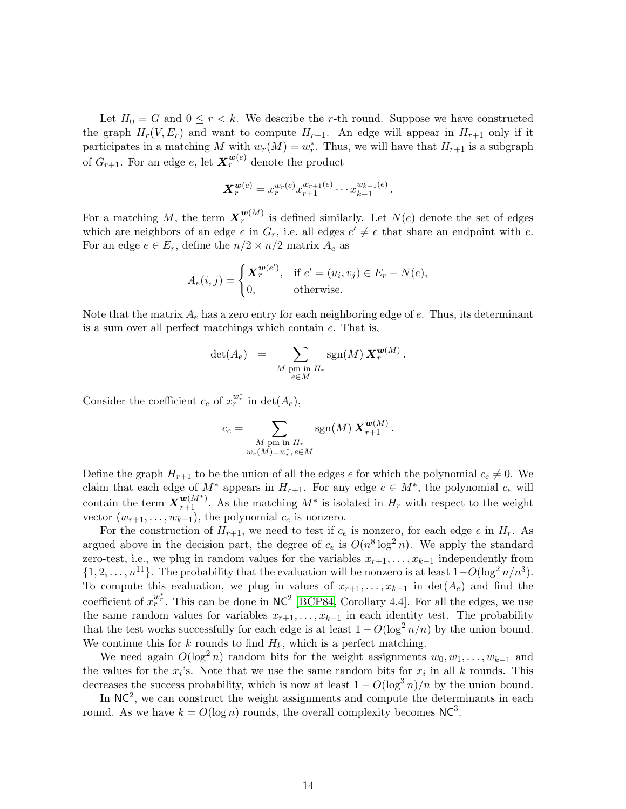Let  $H_0 = G$  and  $0 \leq r < k$ . We describe the r-th round. Suppose we have constructed the graph  $H_r(V, E_r)$  and want to compute  $H_{r+1}$ . An edge will appear in  $H_{r+1}$  only if it participates in a matching M with  $w_r(M) = w_r^*$ . Thus, we will have that  $H_{r+1}$  is a subgraph of  $G_{r+1}$ . For an edge e, let  $\boldsymbol{X}^{w(e)}_r$  denote the product

$$
\mathbf{X}_{r}^{\boldsymbol{w}(e)}=x_{r}^{w_{r}(e)}x_{r+1}^{w_{r+1}(e)}\cdots x_{k-1}^{w_{k-1}(e)}.
$$

For a matching M, the term  $\boldsymbol{X}_r^{\boldsymbol{w}(M)}$  is defined similarly. Let  $N(e)$  denote the set of edges which are neighbors of an edge e in  $G_r$ , i.e. all edges  $e' \neq e$  that share an endpoint with e. For an edge  $e \in E_r$ , define the  $n/2 \times n/2$  matrix  $A_e$  as

$$
A_e(i,j) = \begin{cases} \mathbf{X}_r^{\mathbf{w}(e')}, & \text{if } e' = (u_i, v_j) \in E_r - N(e), \\ 0, & \text{otherwise.} \end{cases}
$$

Note that the matrix  $A_e$  has a zero entry for each neighboring edge of  $e$ . Thus, its determinant is a sum over all perfect matchings which contain e. That is,

$$
\det(A_e) = \sum_{\substack{M \text{ pm in } H_r \\ e \in M}} \text{sgn}(M) \, \mathbf{X}_r^{\mathbf{w}(M)}.
$$

Consider the coefficient  $c_e$  of  $x_r^{w_r^*}$  in  $\det(A_e)$ ,

$$
c_e = \sum_{\substack{M \text{ pm in } H_r \\ w_r(M) = w_r^*, e \in M}} \text{sgn}(M) \, \mathbf{X}_{r+1}^{\mathbf{w}(M)}.
$$

Define the graph  $H_{r+1}$  to be the union of all the edges e for which the polynomial  $c_e \neq 0$ . We claim that each edge of  $M^*$  appears in  $H_{r+1}$ . For any edge  $e \in M^*$ , the polynomial  $c_e$  will contain the term  $\mathbf{X}_{r+1}^{\mathbf{w}(M^*)}$ . As the matching  $M^*$  is isolated in  $H_r$  with respect to the weight vector  $(w_{r+1}, \ldots, w_{k-1})$ , the polynomial  $c_e$  is nonzero.

For the construction of  $H_{r+1}$ , we need to test if  $c_e$  is nonzero, for each edge e in  $H_r$ . As argued above in the decision part, the degree of  $c_e$  is  $O(n^8 \log^2 n)$ . We apply the standard zero-test, i.e., we plug in random values for the variables  $x_{r+1}, \ldots, x_{k-1}$  independently from  $\{1, 2, \ldots, n^{11}\}.$  The probability that the evaluation will be nonzero is at least  $1-O(\log^2 n/n^3).$ To compute this evaluation, we plug in values of  $x_{r+1}, \ldots, x_{k-1}$  in  $\det(A_e)$  and find the coefficient of  $x_r^{w_r^*}$ . This can be done in NC<sup>2</sup> [\[BCP84,](#page-16-9) Corollary 4.4]. For all the edges, we use the same random values for variables  $x_{r+1}, \ldots, x_{k-1}$  in each identity test. The probability that the test works successfully for each edge is at least  $1 - O(\log^2 n/n)$  by the union bound. We continue this for k rounds to find  $H_k$ , which is a perfect matching.

We need again  $O(\log^2 n)$  random bits for the weight assignments  $w_0, w_1, \ldots, w_{k-1}$  and the values for the  $x_i$ 's. Note that we use the same random bits for  $x_i$  in all k rounds. This decreases the success probability, which is now at least  $1 - O(\log^3 n)/n$  by the union bound.

In  $NC<sup>2</sup>$ , we can construct the weight assignments and compute the determinants in each round. As we have  $k = O(\log n)$  rounds, the overall complexity becomes  $NC<sup>3</sup>$ .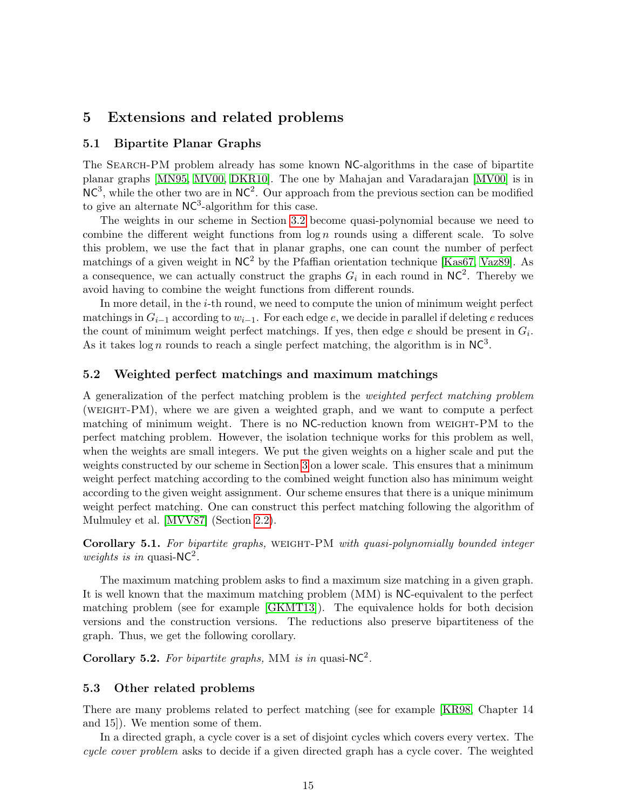# <span id="page-14-0"></span>5 Extensions and related problems

#### 5.1 Bipartite Planar Graphs

The Search-PM problem already has some known NC-algorithms in the case of bipartite planar graphs [\[MN95,](#page-17-6) [MV00,](#page-17-7) [DKR10\]](#page-16-1). The one by Mahajan and Varadarajan [\[MV00\]](#page-17-7) is in  $NC<sup>3</sup>$ , while the other two are in  $NC<sup>2</sup>$ . Our approach from the previous section can be modified to give an alternate  $NC<sup>3</sup>$ -algorithm for this case.

The weights in our scheme in Section [3.2](#page-9-1) become quasi-polynomial because we need to combine the different weight functions from  $\log n$  rounds using a different scale. To solve this problem, we use the fact that in planar graphs, one can count the number of perfect matchings of a given weight in  $NC<sup>2</sup>$  by the Pfaffian orientation technique [\[Kas67,](#page-17-11) [Vaz89\]](#page-18-4). As a consequence, we can actually construct the graphs  $G_i$  in each round in NC<sup>2</sup>. Thereby we avoid having to combine the weight functions from different rounds.

In more detail, in the i-th round, we need to compute the union of minimum weight perfect matchings in  $G_{i-1}$  according to  $w_{i-1}$ . For each edge e, we decide in parallel if deleting e reduces the count of minimum weight perfect matchings. If yes, then edge  $e$  should be present in  $G_i$ . As it takes log *n* rounds to reach a single perfect matching, the algorithm is in  $NC<sup>3</sup>$ .

#### 5.2 Weighted perfect matchings and maximum matchings

A generalization of the perfect matching problem is the weighted perfect matching problem (weight-PM), where we are given a weighted graph, and we want to compute a perfect matching of minimum weight. There is no NC-reduction known from WEIGHT-PM to the perfect matching problem. However, the isolation technique works for this problem as well, when the weights are small integers. We put the given weights on a higher scale and put the weights constructed by our scheme in Section [3](#page-5-0) on a lower scale. This ensures that a minimum weight perfect matching according to the combined weight function also has minimum weight according to the given weight assignment. Our scheme ensures that there is a unique minimum weight perfect matching. One can construct this perfect matching following the algorithm of Mulmuley et al. [\[MVV87\]](#page-17-3) (Section [2.2\)](#page-2-0).

Corollary 5.1. For bipartite graphs, WEIGHT-PM with quasi-polynomially bounded integer weights is in quasi- $NC^2$ .

The maximum matching problem asks to find a maximum size matching in a given graph. It is well known that the maximum matching problem (MM) is NC-equivalent to the perfect matching problem (see for example [\[GKMT13\]](#page-17-12)). The equivalence holds for both decision versions and the construction versions. The reductions also preserve bipartiteness of the graph. Thus, we get the following corollary.

Corollary 5.2. For bipartite graphs, MM is in quasi-NC<sup>2</sup>.

#### 5.3 Other related problems

There are many problems related to perfect matching (see for example [\[KR98,](#page-17-13) Chapter 14 and 15]). We mention some of them.

In a directed graph, a cycle cover is a set of disjoint cycles which covers every vertex. The cycle cover problem asks to decide if a given directed graph has a cycle cover. The weighted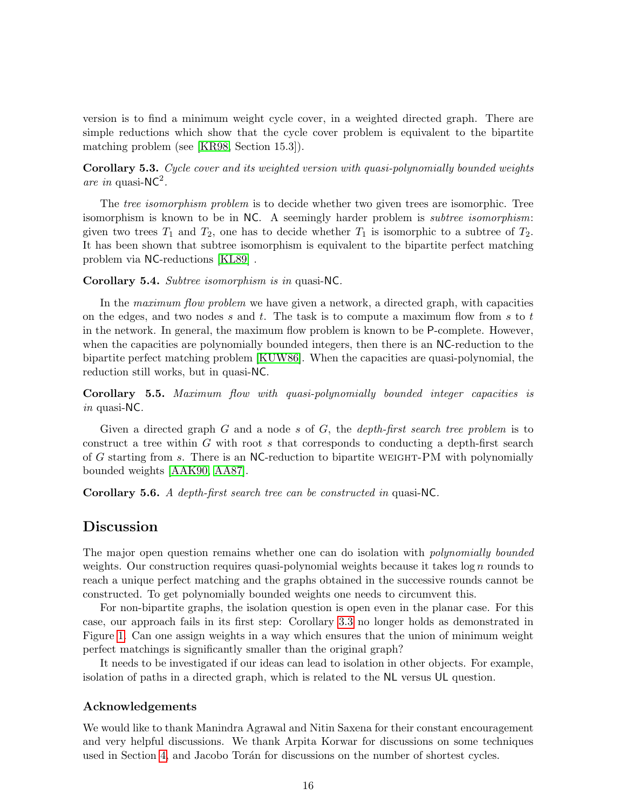version is to find a minimum weight cycle cover, in a weighted directed graph. There are simple reductions which show that the cycle cover problem is equivalent to the bipartite matching problem (see [\[KR98,](#page-17-13) Section 15.3]).

Corollary 5.3. Cycle cover and its weighted version with quasi-polynomially bounded weights are in quasi- $NC^2$ .

The *tree isomorphism problem* is to decide whether two given trees are isomorphic. Tree isomorphism is known to be in NC. A seemingly harder problem is *subtree isomorphism*: given two trees  $T_1$  and  $T_2$ , one has to decide whether  $T_1$  is isomorphic to a subtree of  $T_2$ . It has been shown that subtree isomorphism is equivalent to the bipartite perfect matching problem via NC-reductions [\[KL89\]](#page-17-14) .

#### Corollary 5.4. Subtree isomorphism is in quasi-NC.

In the maximum flow problem we have given a network, a directed graph, with capacities on the edges, and two nodes  $s$  and  $t$ . The task is to compute a maximum flow from  $s$  to  $t$ in the network. In general, the maximum flow problem is known to be P-complete. However, when the capacities are polynomially bounded integers, then there is an NC-reduction to the bipartite perfect matching problem [\[KUW86\]](#page-17-2). When the capacities are quasi-polynomial, the reduction still works, but in quasi-NC.

Corollary 5.5. Maximum flow with quasi-polynomially bounded integer capacities is in quasi-NC.

Given a directed graph  $G$  and a node s of  $G$ , the *depth-first search tree problem* is to construct a tree within G with root s that corresponds to conducting a depth-first search of G starting from s. There is an NC-reduction to bipartite weight-PM with polynomially bounded weights [\[AAK90,](#page-16-10) [AA87\]](#page-16-11).

Corollary 5.6. A depth-first search tree can be constructed in quasi-NC.

### Discussion

The major open question remains whether one can do isolation with *polynomially bounded* weights. Our construction requires quasi-polynomial weights because it takes  $\log n$  rounds to reach a unique perfect matching and the graphs obtained in the successive rounds cannot be constructed. To get polynomially bounded weights one needs to circumvent this.

For non-bipartite graphs, the isolation question is open even in the planar case. For this case, our approach fails in its first step: Corollary [3.3](#page-8-0) no longer holds as demonstrated in Figure [1.](#page-6-0) Can one assign weights in a way which ensures that the union of minimum weight perfect matchings is significantly smaller than the original graph?

It needs to be investigated if our ideas can lead to isolation in other objects. For example, isolation of paths in a directed graph, which is related to the NL versus UL question.

#### Acknowledgements

We would like to thank Manindra Agrawal and Nitin Saxena for their constant encouragement and very helpful discussions. We thank Arpita Korwar for discussions on some techniques used in Section [4,](#page-10-0) and Jacobo Torán for discussions on the number of shortest cycles.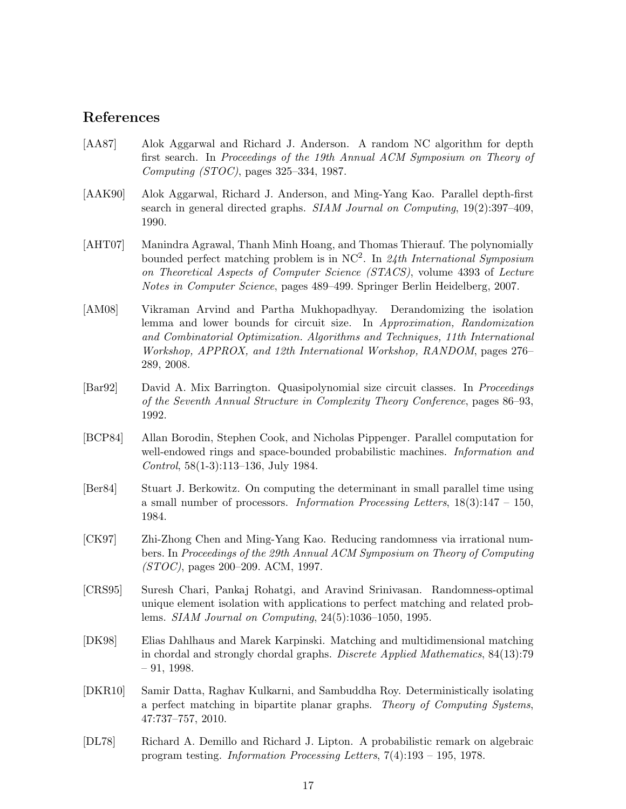# References

- <span id="page-16-11"></span>[AA87] Alok Aggarwal and Richard J. Anderson. A random NC algorithm for depth first search. In Proceedings of the 19th Annual ACM Symposium on Theory of Computing (STOC), pages 325–334, 1987.
- <span id="page-16-10"></span>[AAK90] Alok Aggarwal, Richard J. Anderson, and Ming-Yang Kao. Parallel depth-first search in general directed graphs. SIAM Journal on Computing, 19(2):397–409, 1990.
- <span id="page-16-3"></span>[AHT07] Manindra Agrawal, Thanh Minh Hoang, and Thomas Thierauf. The polynomially bounded perfect matching problem is in  $NC^2$ . In 24th International Symposium on Theoretical Aspects of Computer Science (STACS), volume 4393 of Lecture Notes in Computer Science, pages 489–499. Springer Berlin Heidelberg, 2007.
- <span id="page-16-0"></span>[AM08] Vikraman Arvind and Partha Mukhopadhyay. Derandomizing the isolation lemma and lower bounds for circuit size. In Approximation, Randomization and Combinatorial Optimization. Algorithms and Techniques, 11th International Workshop, APPROX, and 12th International Workshop, RANDOM, pages 276– 289, 2008.
- <span id="page-16-6"></span>[Bar92] David A. Mix Barrington. Quasipolynomial size circuit classes. In *Proceedings* of the Seventh Annual Structure in Complexity Theory Conference, pages 86–93, 1992.
- <span id="page-16-9"></span>[BCP84] Allan Borodin, Stephen Cook, and Nicholas Pippenger. Parallel computation for well-endowed rings and space-bounded probabilistic machines. *Information and* Control, 58(1-3):113–136, July 1984.
- <span id="page-16-7"></span>[Ber84] Stuart J. Berkowitz. On computing the determinant in small parallel time using a small number of processors. *Information Processing Letters*,  $18(3):147 - 150$ , 1984.
- <span id="page-16-5"></span>[CK97] Zhi-Zhong Chen and Ming-Yang Kao. Reducing randomness via irrational numbers. In Proceedings of the 29th Annual ACM Symposium on Theory of Computing (STOC), pages 200–209. ACM, 1997.
- <span id="page-16-4"></span>[CRS95] Suresh Chari, Pankaj Rohatgi, and Aravind Srinivasan. Randomness-optimal unique element isolation with applications to perfect matching and related problems. SIAM Journal on Computing, 24(5):1036–1050, 1995.
- <span id="page-16-2"></span>[DK98] Elias Dahlhaus and Marek Karpinski. Matching and multidimensional matching in chordal and strongly chordal graphs. Discrete Applied Mathematics, 84(13):79  $-91, 1998.$
- <span id="page-16-1"></span>[DKR10] Samir Datta, Raghav Kulkarni, and Sambuddha Roy. Deterministically isolating a perfect matching in bipartite planar graphs. Theory of Computing Systems, 47:737–757, 2010.
- <span id="page-16-8"></span>[DL78] Richard A. Demillo and Richard J. Lipton. A probabilistic remark on algebraic program testing. Information Processing Letters, 7(4):193 – 195, 1978.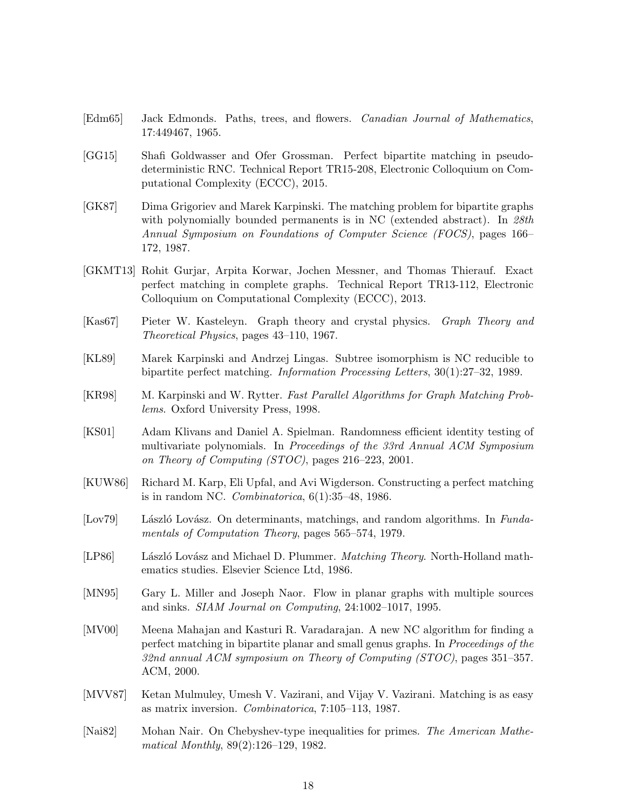- <span id="page-17-0"></span>[Edm65] Jack Edmonds. Paths, trees, and flowers. Canadian Journal of Mathematics, 17:449467, 1965.
- <span id="page-17-5"></span>[GG15] Shafi Goldwasser and Ofer Grossman. Perfect bipartite matching in pseudodeterministic RNC. Technical Report TR15-208, Electronic Colloquium on Computational Complexity (ECCC), 2015.
- <span id="page-17-4"></span>[GK87] Dima Grigoriev and Marek Karpinski. The matching problem for bipartite graphs with polynomially bounded permanents is in NC (extended abstract). In 28th Annual Symposium on Foundations of Computer Science (FOCS), pages 166– 172, 1987.
- <span id="page-17-12"></span>[GKMT13] Rohit Gurjar, Arpita Korwar, Jochen Messner, and Thomas Thierauf. Exact perfect matching in complete graphs. Technical Report TR13-112, Electronic Colloquium on Computational Complexity (ECCC), 2013.
- <span id="page-17-11"></span>[Kas67] Pieter W. Kasteleyn. Graph theory and crystal physics. Graph Theory and Theoretical Physics, pages 43–110, 1967.
- <span id="page-17-14"></span>[KL89] Marek Karpinski and Andrzej Lingas. Subtree isomorphism is NC reducible to bipartite perfect matching. Information Processing Letters, 30(1):27–32, 1989.
- <span id="page-17-13"></span>[KR98] M. Karpinski and W. Rytter. Fast Parallel Algorithms for Graph Matching Problems. Oxford University Press, 1998.
- <span id="page-17-10"></span>[KS01] Adam Klivans and Daniel A. Spielman. Randomness efficient identity testing of multivariate polynomials. In Proceedings of the 33rd Annual ACM Symposium on Theory of Computing (STOC), pages 216–223, 2001.
- <span id="page-17-2"></span>[KUW86] Richard M. Karp, Eli Upfal, and Avi Wigderson. Constructing a perfect matching is in random NC. Combinatorica,  $6(1):35-48$ , 1986.
- <span id="page-17-1"></span>[Lov79] László Lovász. On determinants, matchings, and random algorithms. In Fundamentals of Computation Theory, pages 565–574, 1979.
- <span id="page-17-8"></span>[LP86] László Lovász and Michael D. Plummer. Matching Theory. North-Holland mathematics studies. Elsevier Science Ltd, 1986.
- <span id="page-17-6"></span>[MN95] Gary L. Miller and Joseph Naor. Flow in planar graphs with multiple sources and sinks. SIAM Journal on Computing, 24:1002–1017, 1995.
- <span id="page-17-7"></span>[MV00] Meena Mahajan and Kasturi R. Varadarajan. A new NC algorithm for finding a perfect matching in bipartite planar and small genus graphs. In Proceedings of the 32nd annual ACM symposium on Theory of Computing (STOC), pages 351–357. ACM, 2000.
- <span id="page-17-3"></span>[MVV87] Ketan Mulmuley, Umesh V. Vazirani, and Vijay V. Vazirani. Matching is as easy as matrix inversion. Combinatorica, 7:105–113, 1987.
- <span id="page-17-9"></span>[Nai82] Mohan Nair. On Chebyshev-type inequalities for primes. The American Mathematical Monthly, 89(2):126–129, 1982.